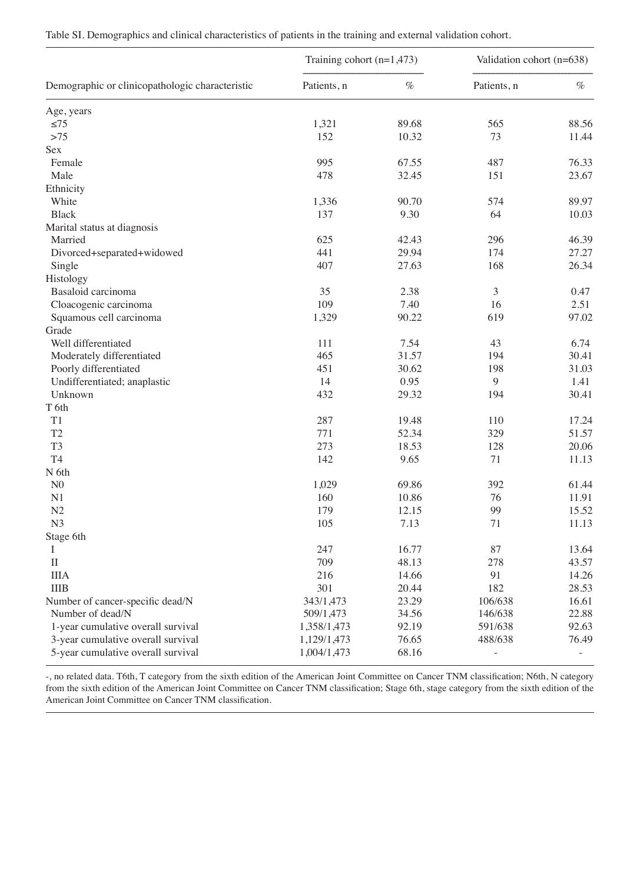| Table SI. Demographics and clinical characteristics of patients in the training and external validation cohort. |  |  |  |
|-----------------------------------------------------------------------------------------------------------------|--|--|--|
|-----------------------------------------------------------------------------------------------------------------|--|--|--|

|                                                 | Training cohort $(n=1,473)$ |       | Validation cohort (n=638) |       |
|-------------------------------------------------|-----------------------------|-------|---------------------------|-------|
| Demographic or clinicopathologic characteristic | Patients, n                 | $\%$  | Patients, n               | $\%$  |
| Age, years                                      |                             |       |                           |       |
| $\leq 75$                                       | 1,321                       | 89.68 | 565                       | 88.56 |
| $>75$                                           | 152                         | 10.32 | 73                        | 11.44 |
| Sex                                             |                             |       |                           |       |
| Female                                          | 995                         | 67.55 | 487                       | 76.33 |
| Male                                            | 478                         | 32.45 | 151                       | 23.67 |
| Ethnicity                                       |                             |       |                           |       |
| White                                           | 1,336                       | 90.70 | 574                       | 89.97 |
| <b>Black</b>                                    | 137                         | 9.30  | 64                        | 10.03 |
| Marital status at diagnosis                     |                             |       |                           |       |
| Married                                         | 625                         | 42.43 | 296                       | 46.39 |
| Divorced+separated+widowed                      | 441                         | 29.94 | 174                       | 27.27 |
| Single                                          | 407                         | 27.63 | 168                       | 26.34 |
| Histology                                       |                             |       |                           |       |
| Basaloid carcinoma                              | 35                          | 2.38  | $\mathfrak{Z}$            | 0.47  |
| Cloacogenic carcinoma                           | 109                         | 7.40  | 16                        | 2.51  |
| Squamous cell carcinoma                         | 1,329                       | 90.22 | 619                       | 97.02 |
| Grade                                           |                             |       |                           |       |
| Well differentiated                             | 111                         | 7.54  | 43                        | 6.74  |
| Moderately differentiated                       | 465                         | 31.57 | 194                       | 30.41 |
| Poorly differentiated                           | 451                         | 30.62 | 198                       | 31.03 |
| Undifferentiated; anaplastic                    | 14                          | 0.95  | 9                         | 1.41  |
| Unknown                                         | 432                         | 29.32 | 194                       | 30.41 |
| T 6th                                           |                             |       |                           |       |
| T1                                              | 287                         | 19.48 | 110                       | 17.24 |
| T <sub>2</sub>                                  | 771                         | 52.34 | 329                       | 51.57 |
| T <sub>3</sub>                                  | 273                         | 18.53 | 128                       | 20.06 |
| T <sub>4</sub>                                  | 142                         | 9.65  | 71                        | 11.13 |
| N 6th                                           |                             |       |                           |       |
| ${\rm N}0$                                      | 1,029                       | 69.86 | 392                       | 61.44 |
| N1                                              | 160                         | 10.86 | 76                        | 11.91 |
| N2                                              | 179                         | 12.15 | 99                        | 15.52 |
| N <sub>3</sub>                                  | 105                         | 7.13  | 71                        | 11.13 |
| Stage 6th                                       |                             |       |                           |       |
| Τ                                               | 247                         | 16.77 | 87                        | 13.64 |
| $\mathbf{I}$                                    | 709                         | 48.13 | 278                       | 43.57 |
| <b>IIIA</b>                                     | 216                         | 14.66 | 91                        | 14.26 |
| <b>IIIB</b>                                     | 301                         | 20.44 | 182                       | 28.53 |
| Number of cancer-specific dead/N                | 343/1,473                   | 23.29 | 106/638                   | 16.61 |
| Number of dead/N                                | 509/1,473                   | 34.56 | 146/638                   | 22.88 |
| 1-year cumulative overall survival              | 1,358/1,473                 | 92.19 | 591/638                   | 92.63 |
| 3-year cumulative overall survival              | 1,129/1,473                 | 76.65 | 488/638                   | 76.49 |
| 5-year cumulative overall survival              | 1,004/1,473                 | 68.16 |                           |       |

-, no related data. T6th, T category from the sixth edition of the American Joint Committee on Cancer TNM classification; N6th, N category from the sixth edition of the American Joint Committee on Cancer TNM classification; Stage 6th, stage category from the sixth edition of the American Joint Committee on Cancer TNM classification.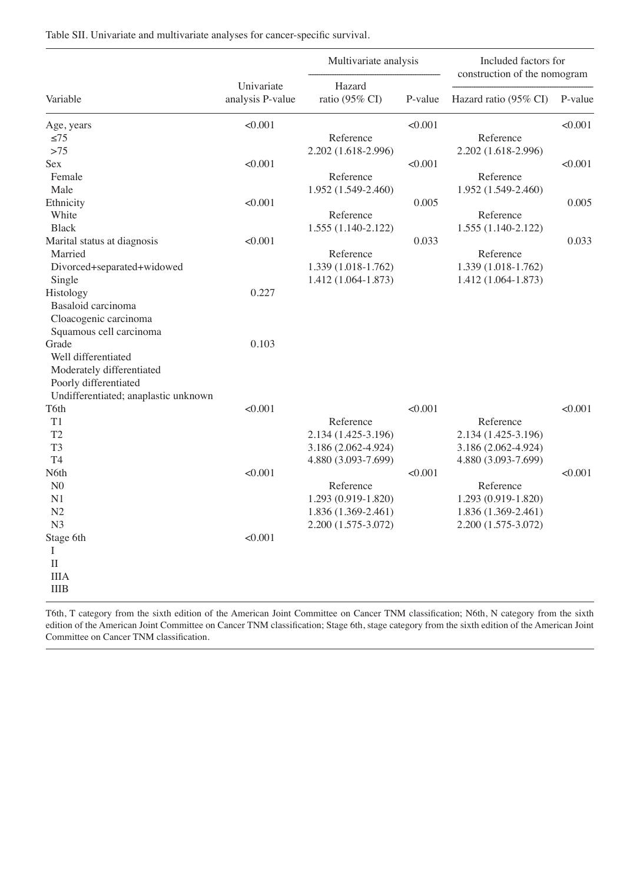Table SII. Univariate and multivariate analyses for cancer-specific survival.

|                                      |                                | Multivariate analysis    |         | Included factors for<br>construction of the nomogram |         |
|--------------------------------------|--------------------------------|--------------------------|---------|------------------------------------------------------|---------|
| Variable                             | Univariate<br>analysis P-value | Hazard<br>ratio (95% CI) | P-value | Hazard ratio (95% CI)                                | P-value |
| Age, years                           | < 0.001                        |                          | < 0.001 |                                                      | < 0.001 |
| $\leq 75$                            |                                | Reference                |         | Reference                                            |         |
| $>75$                                |                                | 2.202 (1.618-2.996)      |         | 2.202 (1.618-2.996)                                  |         |
| Sex                                  | < 0.001                        |                          | < 0.001 |                                                      | <0.001  |
| Female                               |                                | Reference                |         | Reference                                            |         |
| Male                                 |                                | 1.952 (1.549-2.460)      |         | 1.952 (1.549-2.460)                                  |         |
| Ethnicity                            | < 0.001                        |                          | 0.005   |                                                      | 0.005   |
| White                                |                                | Reference                |         | Reference                                            |         |
| <b>Black</b>                         |                                | 1.555 (1.140-2.122)      |         | 1.555 (1.140-2.122)                                  |         |
| Marital status at diagnosis          | < 0.001                        |                          | 0.033   |                                                      | 0.033   |
| Married                              |                                | Reference                |         | Reference                                            |         |
| Divorced+separated+widowed           |                                | 1.339 (1.018-1.762)      |         | 1.339 (1.018-1.762)                                  |         |
| Single                               |                                | 1.412 (1.064-1.873)      |         | 1.412 (1.064-1.873)                                  |         |
| Histology                            | 0.227                          |                          |         |                                                      |         |
| Basaloid carcinoma                   |                                |                          |         |                                                      |         |
| Cloacogenic carcinoma                |                                |                          |         |                                                      |         |
| Squamous cell carcinoma              |                                |                          |         |                                                      |         |
| Grade                                | 0.103                          |                          |         |                                                      |         |
| Well differentiated                  |                                |                          |         |                                                      |         |
|                                      |                                |                          |         |                                                      |         |
| Moderately differentiated            |                                |                          |         |                                                      |         |
| Poorly differentiated                |                                |                          |         |                                                      |         |
| Undifferentiated; anaplastic unknown |                                |                          |         |                                                      |         |
| T6th                                 | < 0.001                        |                          | < 0.001 |                                                      | < 0.001 |
| T <sub>1</sub>                       |                                | Reference                |         | Reference                                            |         |
| T <sub>2</sub>                       |                                | 2.134 (1.425-3.196)      |         | 2.134 (1.425-3.196)                                  |         |
| T <sub>3</sub>                       |                                | 3.186 (2.062-4.924)      |         | 3.186 (2.062-4.924)                                  |         |
| T <sub>4</sub>                       |                                | 4.880 (3.093-7.699)      |         | 4.880 (3.093-7.699)                                  |         |
| N6th                                 | < 0.001                        |                          | < 0.001 |                                                      | < 0.001 |
| N <sub>0</sub>                       |                                | Reference                |         | Reference                                            |         |
| N1                                   |                                | 1.293 (0.919-1.820)      |         | 1.293 (0.919-1.820)                                  |         |
| N <sub>2</sub>                       |                                | 1.836 (1.369-2.461)      |         | 1.836 (1.369-2.461)                                  |         |
| N <sub>3</sub>                       |                                | 2.200 (1.575-3.072)      |         | 2.200 (1.575-3.072)                                  |         |
| Stage 6th                            | < 0.001                        |                          |         |                                                      |         |
| I                                    |                                |                          |         |                                                      |         |
| $_{\rm II}$                          |                                |                          |         |                                                      |         |
| <b>IIIA</b>                          |                                |                          |         |                                                      |         |
| <b>IIIB</b>                          |                                |                          |         |                                                      |         |
|                                      |                                |                          |         |                                                      |         |

T6th, T category from the sixth edition of the American Joint Committee on Cancer TNM classification; N6th, N category from the sixth edition of the American Joint Committee on Cancer TNM classification; Stage 6th, stage category from the sixth edition of the American Joint Committee on Cancer TNM classification.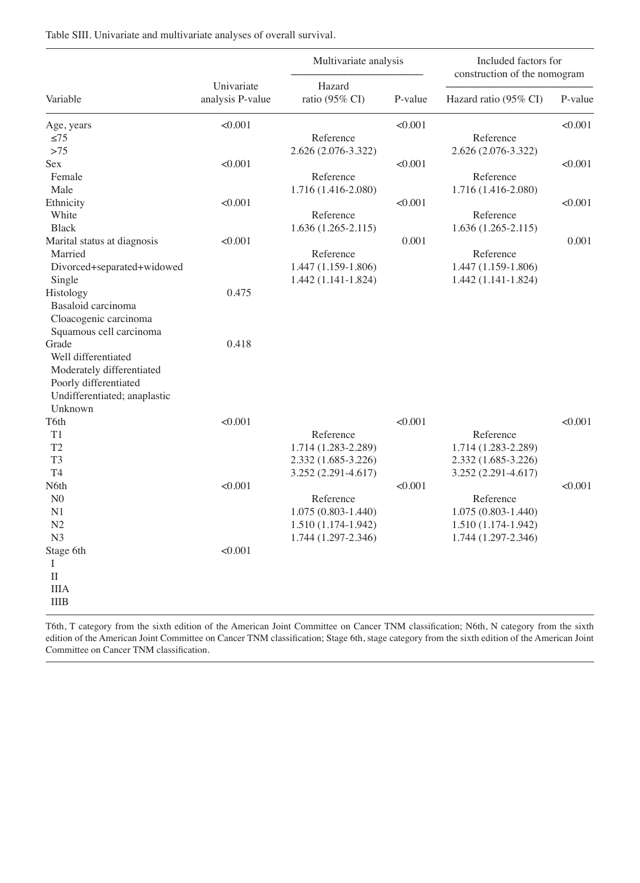Table SIII. Univariate and multivariate analyses of overall survival.

|                              |                                | Multivariate analysis    |         | Included factors for<br>construction of the nomogram |         |
|------------------------------|--------------------------------|--------------------------|---------|------------------------------------------------------|---------|
| Variable                     | Univariate<br>analysis P-value | Hazard<br>ratio (95% CI) | P-value | Hazard ratio (95% CI)                                | P-value |
| Age, years                   | < 0.001                        |                          | < 0.001 |                                                      | < 0.001 |
| $\leq 75$                    |                                | Reference                |         | Reference                                            |         |
| >75                          |                                | 2.626 (2.076-3.322)      |         | 2.626 (2.076-3.322)                                  |         |
| Sex                          | < 0.001                        |                          | < 0.001 |                                                      | < 0.001 |
| Female                       |                                | Reference                |         | Reference                                            |         |
| Male                         |                                | 1.716 (1.416-2.080)      |         | 1.716 (1.416-2.080)                                  |         |
| Ethnicity                    | < 0.001                        |                          | < 0.001 |                                                      | < 0.001 |
| White                        |                                | Reference                |         | Reference                                            |         |
| <b>Black</b>                 |                                | $1.636(1.265-2.115)$     |         | $1.636(1.265-2.115)$                                 |         |
| Marital status at diagnosis  | < 0.001                        |                          | 0.001   |                                                      | 0.001   |
| Married                      |                                | Reference                |         | Reference                                            |         |
| Divorced+separated+widowed   |                                | 1.447 (1.159-1.806)      |         | 1.447 (1.159-1.806)                                  |         |
| Single                       |                                | 1.442 (1.141-1.824)      |         | 1.442 (1.141-1.824)                                  |         |
| Histology                    | 0.475                          |                          |         |                                                      |         |
| Basaloid carcinoma           |                                |                          |         |                                                      |         |
| Cloacogenic carcinoma        |                                |                          |         |                                                      |         |
| Squamous cell carcinoma      |                                |                          |         |                                                      |         |
| Grade                        | 0.418                          |                          |         |                                                      |         |
| Well differentiated          |                                |                          |         |                                                      |         |
| Moderately differentiated    |                                |                          |         |                                                      |         |
| Poorly differentiated        |                                |                          |         |                                                      |         |
| Undifferentiated; anaplastic |                                |                          |         |                                                      |         |
| Unknown                      |                                |                          |         |                                                      |         |
| T6th                         | < 0.001                        |                          | < 0.001 |                                                      | < 0.001 |
| T <sub>1</sub>               |                                | Reference                |         | Reference                                            |         |
| T <sub>2</sub>               |                                | 1.714 (1.283-2.289)      |         | 1.714 (1.283-2.289)                                  |         |
| T <sub>3</sub>               |                                | 2.332 (1.685-3.226)      |         | 2.332 (1.685-3.226)                                  |         |
| T <sub>4</sub>               |                                | 3.252 (2.291-4.617)      |         | 3.252 (2.291-4.617)                                  |         |
| N6th                         | < 0.001                        |                          | < 0.001 |                                                      | < 0.001 |
| N <sub>0</sub>               |                                | Reference                |         | Reference                                            |         |
| N1                           |                                | 1.075 (0.803-1.440)      |         | 1.075 (0.803-1.440)                                  |         |
| N2                           |                                | 1.510 (1.174-1.942)      |         | 1.510 (1.174-1.942)                                  |         |
| N <sub>3</sub>               |                                | 1.744 (1.297-2.346)      |         | 1.744 (1.297-2.346)                                  |         |
| Stage 6th                    | < 0.001                        |                          |         |                                                      |         |
| $\bf{l}$                     |                                |                          |         |                                                      |         |
| $\rm II$                     |                                |                          |         |                                                      |         |
| <b>IIIA</b>                  |                                |                          |         |                                                      |         |
| $\rm IIIB$                   |                                |                          |         |                                                      |         |
|                              |                                |                          |         |                                                      |         |

T6th, T category from the sixth edition of the American Joint Committee on Cancer TNM classification; N6th, N category from the sixth edition of the American Joint Committee on Cancer TNM classification; Stage 6th, stage category from the sixth edition of the American Joint Committee on Cancer TNM classification.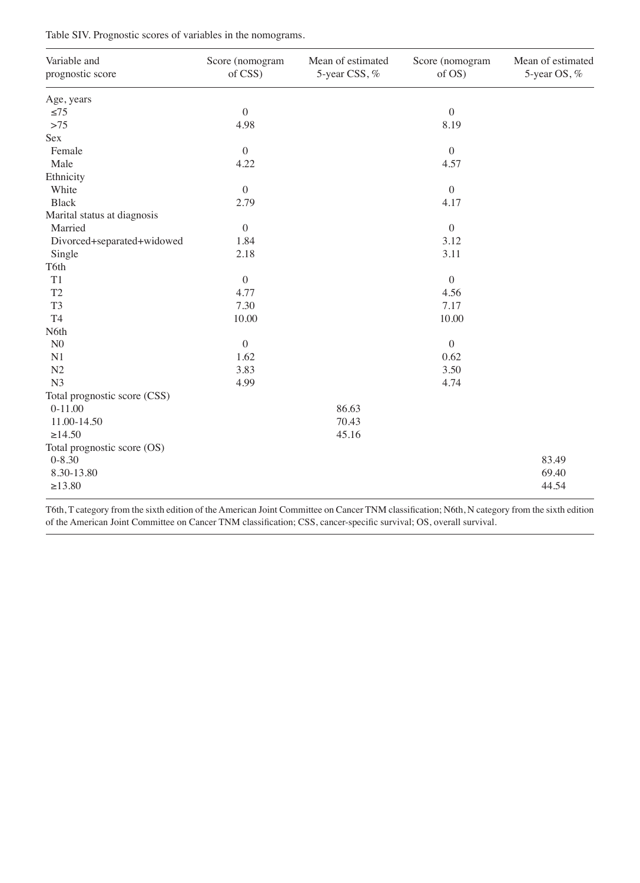Table SIV. Prognostic scores of variables in the nomograms.

| Variable and<br>prognostic score | Score (nomogram<br>of CSS) | Mean of estimated<br>5-year CSS, % | Score (nomogram<br>of OS) | Mean of estimated<br>5-year OS, % |
|----------------------------------|----------------------------|------------------------------------|---------------------------|-----------------------------------|
| Age, years                       |                            |                                    |                           |                                   |
| $\leq 75$                        | $\mathbf{0}$               |                                    | $\boldsymbol{0}$          |                                   |
| $>75$                            | 4.98                       |                                    | 8.19                      |                                   |
| Sex                              |                            |                                    |                           |                                   |
| Female                           | $\mathbf{0}$               |                                    | $\boldsymbol{0}$          |                                   |
| Male                             | 4.22                       |                                    | 4.57                      |                                   |
| Ethnicity                        |                            |                                    |                           |                                   |
| White                            | $\mathbf{0}$               |                                    | $\boldsymbol{0}$          |                                   |
| <b>Black</b>                     | 2.79                       |                                    | 4.17                      |                                   |
| Marital status at diagnosis      |                            |                                    |                           |                                   |
| Married                          | $\boldsymbol{0}$           |                                    | $\boldsymbol{0}$          |                                   |
| Divorced+separated+widowed       | 1.84                       |                                    | 3.12                      |                                   |
| Single                           | 2.18                       |                                    | 3.11                      |                                   |
| T6th                             |                            |                                    |                           |                                   |
| T1                               | $\mathbf{0}$               |                                    | $\boldsymbol{0}$          |                                   |
| T <sub>2</sub>                   | 4.77                       |                                    | 4.56                      |                                   |
| T <sub>3</sub>                   | 7.30                       |                                    | 7.17                      |                                   |
| T <sub>4</sub>                   | 10.00                      |                                    | 10.00                     |                                   |
| N6th                             |                            |                                    |                           |                                   |
| ${\rm N}0$                       | $\mathbf{0}$               |                                    | $\boldsymbol{0}$          |                                   |
| N1                               | 1.62                       |                                    | 0.62                      |                                   |
| N2                               | 3.83                       |                                    | 3.50                      |                                   |
| N <sub>3</sub>                   | 4.99                       |                                    | 4.74                      |                                   |
| Total prognostic score (CSS)     |                            |                                    |                           |                                   |
| $0-11.00$                        |                            | 86.63                              |                           |                                   |
| 11.00-14.50                      |                            | 70.43                              |                           |                                   |
| >14.50                           |                            | 45.16                              |                           |                                   |
| Total prognostic score (OS)      |                            |                                    |                           |                                   |
| $0 - 8.30$                       |                            |                                    |                           | 83.49                             |
| 8.30-13.80                       |                            |                                    |                           | 69.40                             |
| >13.80                           |                            |                                    |                           | 44.54                             |

T6th, T category from the sixth edition of the American Joint Committee on Cancer TNM classification; N6th, N category from the sixth edition of the American Joint Committee on Cancer TNM classification; CSS, cancer-specific survival; OS, overall survival.